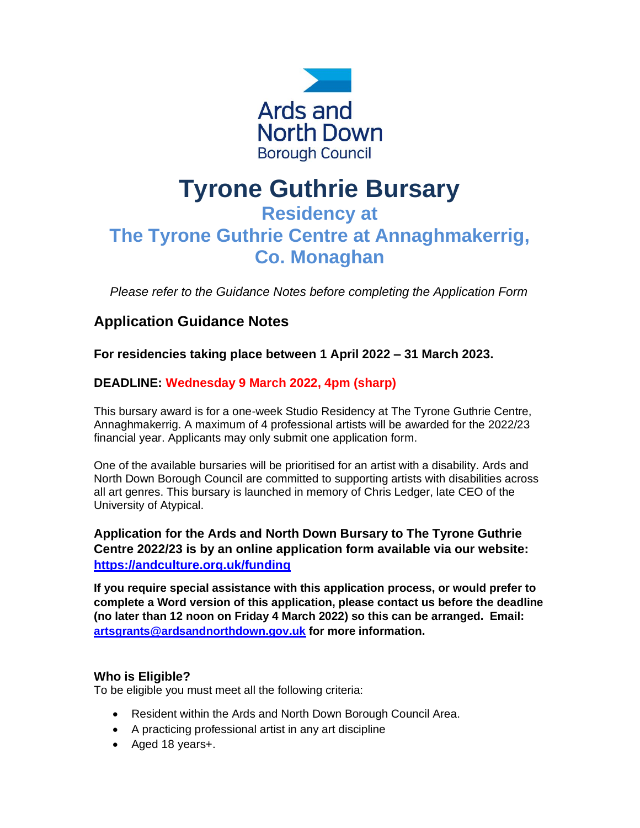

# **Tyrone Guthrie Bursary**

# **Residency at The Tyrone Guthrie Centre at Annaghmakerrig, Co. Monaghan**

*Please refer to the Guidance Notes before completing the Application Form*

# **Application Guidance Notes**

**For residencies taking place between 1 April 2022 – 31 March 2023.**

# **DEADLINE: Wednesday 9 March 2022, 4pm (sharp)**

This bursary award is for a one-week Studio Residency at The Tyrone Guthrie Centre, Annaghmakerrig. A maximum of 4 professional artists will be awarded for the 2022/23 financial year. Applicants may only submit one application form.

One of the available bursaries will be prioritised for an artist with a disability. Ards and North Down Borough Council are committed to supporting artists with disabilities across all art genres. This bursary is launched in memory of Chris Ledger, late CEO of the University of Atypical.

**Application for the Ards and North Down Bursary to The Tyrone Guthrie Centre 2022/23 is by an online application form available via our website: <https://andculture.org.uk/funding>**

**If you require special assistance with this application process, or would prefer to complete a Word version of this application, please contact us before the deadline (no later than 12 noon on Friday 4 March 2022) so this can be arranged. Email: [artsgrants@ardsandnorthdown.gov.uk](mailto:artsgrants@ardsandnorthdown.gov.uk) for more information.**

#### **Who is Eligible?**

To be eligible you must meet all the following criteria:

- Resident within the Ards and North Down Borough Council Area.
- A practicing professional artist in any art discipline
- Aged 18 years+.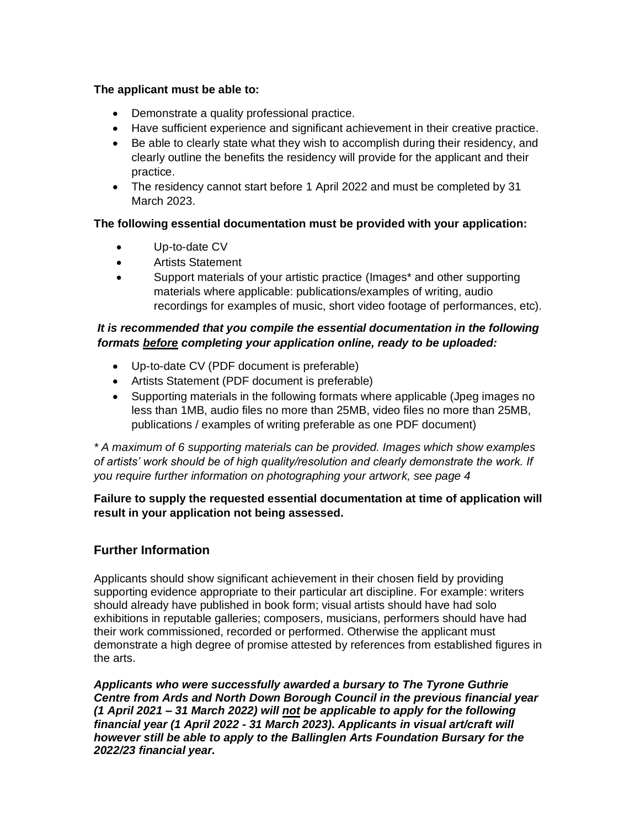#### **The applicant must be able to:**

- Demonstrate a quality professional practice.
- Have sufficient experience and significant achievement in their creative practice.
- Be able to clearly state what they wish to accomplish during their residency, and clearly outline the benefits the residency will provide for the applicant and their practice.
- The residency cannot start before 1 April 2022 and must be completed by 31 March 2023.

#### **The following essential documentation must be provided with your application:**

- Up-to-date CV
- Artists Statement
- Support materials of your artistic practice (Images\* and other supporting materials where applicable: publications/examples of writing, audio recordings for examples of music, short video footage of performances, etc).

#### *It is recommended that you compile the essential documentation in the following formats before completing your application online, ready to be uploaded:*

- Up-to-date CV (PDF document is preferable)
- Artists Statement (PDF document is preferable)
- Supporting materials in the following formats where applicable (Jpeg images no less than 1MB, audio files no more than 25MB, video files no more than 25MB, publications / examples of writing preferable as one PDF document)

*\* A maximum of 6 supporting materials can be provided. Images which show examples of artists' work should be of high quality/resolution and clearly demonstrate the work. If you require further information on photographing your artwork, see page 4*

#### **Failure to supply the requested essential documentation at time of application will result in your application not being assessed.**

# **Further Information**

Applicants should show significant achievement in their chosen field by providing supporting evidence appropriate to their particular art discipline. For example: writers should already have published in book form; visual artists should have had solo exhibitions in reputable galleries; composers, musicians, performers should have had their work commissioned, recorded or performed. Otherwise the applicant must demonstrate a high degree of promise attested by references from established figures in the arts.

*Applicants who were successfully awarded a bursary to The Tyrone Guthrie Centre from Ards and North Down Borough Council in the previous financial year (1 April 2021 – 31 March 2022) will not be applicable to apply for the following financial year (1 April 2022 - 31 March 2023). Applicants in visual art/craft will however still be able to apply to the Ballinglen Arts Foundation Bursary for the 2022/23 financial year.*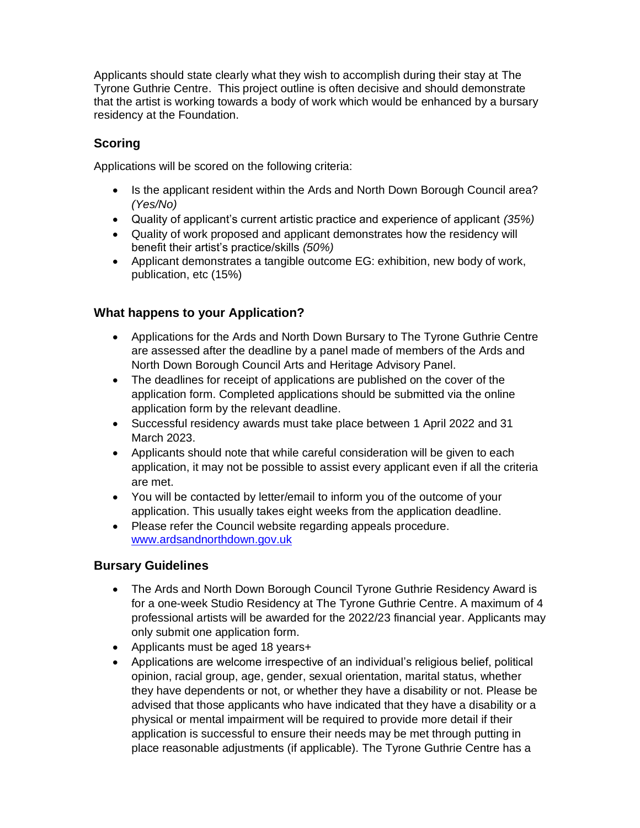Applicants should state clearly what they wish to accomplish during their stay at The Tyrone Guthrie Centre. This project outline is often decisive and should demonstrate that the artist is working towards a body of work which would be enhanced by a bursary residency at the Foundation.

# **Scoring**

Applications will be scored on the following criteria:

- Is the applicant resident within the Ards and North Down Borough Council area? *(Yes/No)*
- Quality of applicant's current artistic practice and experience of applicant *(35%)*
- Quality of work proposed and applicant demonstrates how the residency will benefit their artist's practice/skills *(50%)*
- Applicant demonstrates a tangible outcome EG: exhibition, new body of work, publication, etc (15%)

# **What happens to your Application?**

- Applications for the Ards and North Down Bursary to The Tyrone Guthrie Centre are assessed after the deadline by a panel made of members of the Ards and North Down Borough Council Arts and Heritage Advisory Panel.
- The deadlines for receipt of applications are published on the cover of the application form. Completed applications should be submitted via the online application form by the relevant deadline.
- Successful residency awards must take place between 1 April 2022 and 31 March 2023.
- Applicants should note that while careful consideration will be given to each application, it may not be possible to assist every applicant even if all the criteria are met.
- You will be contacted by letter/email to inform you of the outcome of your application. This usually takes eight weeks from the application deadline.
- Please refer the Council website regarding appeals procedure. [www.ardsandnorthdown.gov.uk](http://www.ardsandnorthdown.gov.uk/)

# **Bursary Guidelines**

- The Ards and North Down Borough Council Tyrone Guthrie Residency Award is for a one-week Studio Residency at The Tyrone Guthrie Centre. A maximum of 4 professional artists will be awarded for the 2022/23 financial year. Applicants may only submit one application form.
- Applicants must be aged 18 years+
- Applications are welcome irrespective of an individual's religious belief, political opinion, racial group, age, gender, sexual orientation, marital status, whether they have dependents or not, or whether they have a disability or not. Please be advised that those applicants who have indicated that they have a disability or a physical or mental impairment will be required to provide more detail if their application is successful to ensure their needs may be met through putting in place reasonable adjustments (if applicable). The Tyrone Guthrie Centre has a